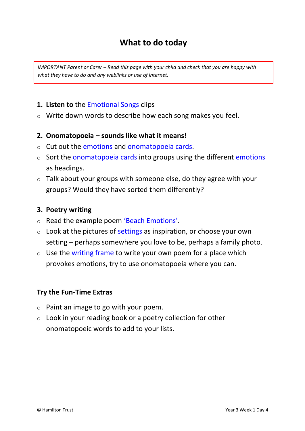### **What to do today**

*IMPORTANT Parent or Carer – Read this page with your child and check that you are happy with what they have to do and any weblinks or use of internet.* 

#### **1. Listen to** the Emotional Songs clips

o Write down words to describe how each song makes you feel.

#### **2. Onomatopoeia – sounds like what it means!**

- o Cut out the emotions and onomatopoeia cards.
- $\circ$  Sort the onomatopoeia cards into groups using the different emotions as headings.
- $\circ$  Talk about your groups with someone else, do they agree with your groups? Would they have sorted them differently?

#### **3. Poetry writing**

- o Read the example poem 'Beach Emotions'.
- $\circ$  Look at the pictures of settings as inspiration, or choose your own setting – perhaps somewhere you love to be, perhaps a family photo.
- $\circ$  Use the writing frame to write your own poem for a place which provokes emotions, try to use onomatopoeia where you can.

#### **Try the Fun-Time Extras**

- $\circ$  Paint an image to go with your poem.
- $\circ$  Look in your reading book or a poetry collection for other onomatopoeic words to add to your lists.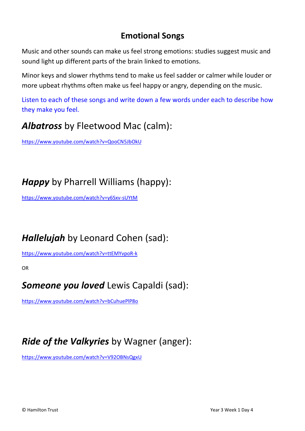### **Emotional Songs**

Music and other sounds can make us feel strong emotions: studies suggest music and sound light up different parts of the brain linked to emotions.

Minor keys and slower rhythms tend to make us feel sadder or calmer while louder or more upbeat rhythms often make us feel happy or angry, depending on the music.

Listen to each of these songs and write down a few words under each to describe how they make you feel.

## *Albatross* by Fleetwood Mac (calm):

<https://www.youtube.com/watch?v=QooCN5JbOkU>

# *Happy* by Pharrell Williams (happy):

<https://www.youtube.com/watch?v=y6Sxv-sUYtM>

# *Hallelujah* by Leonard Cohen (sad):

<https://www.youtube.com/watch?v=ttEMYvpoR-k>

OR

## *Someone you loved* Lewis Capaldi (sad):

<https://www.youtube.com/watch?v=bCuhuePlP8o>

## *Ride of the Valkyries* by Wagner (anger):

<https://www.youtube.com/watch?v=V92OBNsQgxU>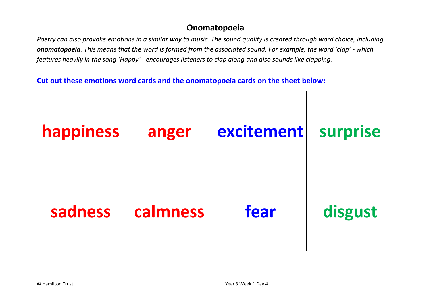### **Onomatopoeia**

*Poetry can also provoke emotions in a similar way to music. The sound quality is created through word choice, including onomatopoeia. This means that the word is formed from the associated sound. For example, the word 'clap' - which features heavily in the song 'Happy' - encourages listeners to clap along and also sounds like clapping.*

#### **Cut out these emotions word cards and the onomatopoeia cards on the sheet below:**

| happiness | anger    | excitement | surprise |
|-----------|----------|------------|----------|
| sadness   | calmness | fear       | disgust  |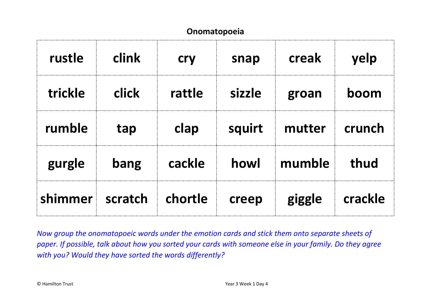### **Onomatopoeia**

| rustle  | <b>clink</b> | <b>cry</b> | snap   | creak  | yelp    |
|---------|--------------|------------|--------|--------|---------|
| trickle | <b>click</b> | rattle     | sizzle | groan  | boom    |
| rumble  | tap          | clap       | squirt | mutter | crunch  |
| gurgle  | bang         | cackle     | howl   | mumble | thud    |
| shimmer | scratch      | chortle    | creep  | giggle | crackle |

*Now group the onomatopoeic words under the emotion cards and stick them onto separate sheets of paper. If possible, talk about how you sorted your cards with someone else in your family. Do they agree with you? Would they have sorted the words differently?*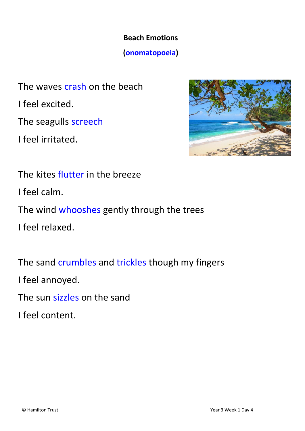## **Beach Emotions**

### **(onomatopoeia)**

The waves crash on the beach I feel excited. The seagulls screech I feel irritated.



The kites flutter in the breeze I feel calm. The wind whooshes gently through the trees I feel relaxed.

The sand crumbles and trickles though my fingers I feel annoyed.

The sun sizzles on the sand

I feel content.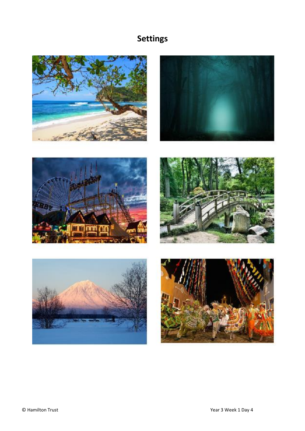## **Settings**